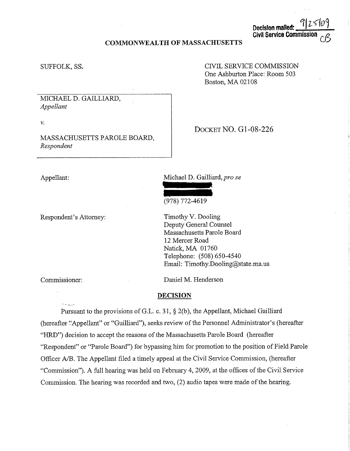## **COMMONWEALTH OF MASSACHUSETTS**

#### SUFFOLK, SS.

CNIL SERVICE COMMISSION One Ashburton Place: Room 503 Boston, MA 02108

**Decision mailed:** 

**Civil Service Commis** 

*l,,* v I

MICHAEL D. GAILLIARD, *Appellant* 

v.

MASSACHUSETTS PAROLE BOARD, *Respondent* 

DOCKET NO. Gl-08-226

Appellant:

Respondent's Attorney:

Michael D. Gailliard, *prose* 



Timothy V. Dooling Deputy General Counsel Massachusetts Parole Board 12 Mercer Road Natick, MA 01760 Telephone: (508) 650-4540 Email: Timothy.Dooling@state.ma.us

Commissioner:

Daniel M. Henderson

## **DECISION**

Pursuant to the provisions of G.L. c. 31, § 2(b ), the Appellant, Michael Gailliard (hereafter "Appellant" or "Guilliard"), seeks review of the Personnel Administrator's (hereafter "HRD") decision to accept the reasons of the Massachusetts Parole Board (hereafter "Respondent" or "Parole Board") for bypassing him for promotion to the position of Field Parole Officer A/B. The Appellant filed a timely appeal at the Civil Service Commission, (hereafter "Commission"). A full hearing was held on February 4, 2009, at the offices of the Civil Service Commission. The hearing was recorded and two, (2) audio tapes were made of the hearing.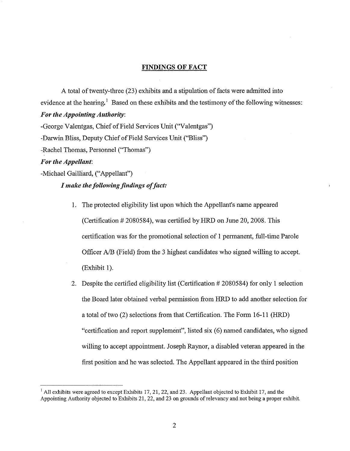#### **FINDINGS OF FACT**

A total of twenty-three (23) exhibits and a stipulation of facts were admitted into evidence at the hearing.<sup>1</sup> Based on these exhibits and the testimony of the following witnesses: *For the Appointing Authority:* 

-George Valentgas, Chief of Field Services Unit ("Valentgas")

-Darwin Bliss, Deputy Chief of Field Services Unit ("Bliss")

-Rachel Thomas, Personnel ("Thomas")

## *For the Appellant:*

-Michael Gailliard, ("Appellant")

# *I make the following findings of fact:*

- 1. The protected eligibility list upon which the Appellant's name appeared (Certification  $#2080584$ ), was certified by HRD on June 20, 2008. This certification was for the promotional selection of I permanent, full-time Parole Officer A/B (Field) from the 3 highest candidates who signed willing to accept. (Exhibit **1** ).
- 2. Despite the certified eligibility list (Certification # 2080584) for only 1 selection the Board later obtained verbal permission from HRD to add another selection for a total of two (2) selections from that Certification. The Form 16-11 (HRD) "certification and report supplement", listed six (6) named candidates, who signed willing to accept appointment. Joseph Raynor, a disabled veteran appeared in the first position and he was selected. The Appellant appeared in the third position

 $<sup>1</sup>$  All exhibits were agreed to except Exhibits 17, 21, 22, and 23. Appellant objected to Exhibit 17, and the</sup> Appointing Authority objected to Exhibits 21, 22, and 23 on grounds of relevancy and not being a proper exhibit.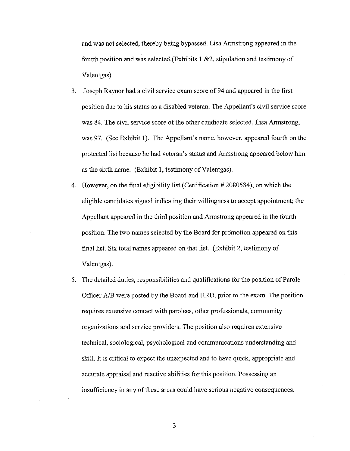and was not selected, thereby being bypassed. Lisa Armstrong appeared in the fourth position and was selected.(Exhibits  $1 \& 2$ , stipulation and testimony of Valentgas)

- 3. Joseph Raynor had a civil service exam score of 94 and appeared in the first position due to his status as a disabled veteran. The Appellant's civil service score was 84. The civil service score of the other candidate selected, Lisa Armstrong, was 97. (See Exhibit 1). The Appellant's name, however, appeared fourth on the protected list because he had veteran's status and Armstrong appeared below him as the sixth name. (Exhibit 1, testimony of Valentgas).
- 4. However, on the final eligibility list (Certification  $#2080584$ ), on which the eligible candidates signed indicating their willingness to accept appointment; the Appellant appeared in the third position and Armstrong appeared in the fourth position. The two names selected by the Board for promotion appeared on this final list. Six total names appeared on that list. (Exhibit 2, testimony of Valentgas).
- 5. The detailed duties, responsibilities and qualifications for the position of Parole Officer A/B were posted by the Board and HRD, prior to the exam. The position requires extensive contact with parolees, other professionals, community organizations and service providers. The position also requires extensive technical, sociological, psychological and communications understanding and skill. It is critical to expect the unexpected and to have quick, appropriate and accurate appraisal and reactive abilities for this position. Possessing an insufficiency in any of these areas could have serious negative consequences.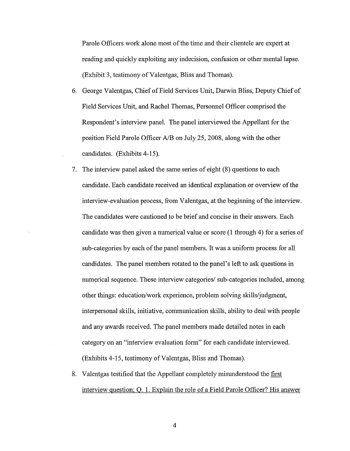Parole Officers work alone most of the time and their clientele are expert at reading and quickly exploiting any indecision, confusion or other mental lapse. (Exhibit 3, testimony of Valentgas, Bliss and Thomas).

- 6. George Valentgas, Chief of Field Services Unit, Darwin Bliss, Deputy Chief of Field Services Unit, and Rachel Thomas, Personnel Officer comprised the Respondent's interview panel. The panel interviewed the Appellant for the position Field Parole Officer *NB* on July 25, 2008, along with the other candidates. (Exhibits 4-15).
- 7. The interview panel asked the same series of eight (8) questions to each candidate. Each candidate received an identical explanation or overview of the interview-evaluation process, from Valentgas, at the beginning of the interview. The candidates were cautioned to be brief and concise in their answers. Each candidate was then given a numerical value or score (I through 4) for a series of sub-categories by each of the panel members. It was a uniform process for all candidates. The panel members rotated to the panel's left to ask questions in numerical sequence. These interview categories/ sub-categories included, among other things: education/work experience, problem solving skills/judgment, interpersonal skills, initiative, communication skills, ability to deal with people and any awards received. The panel members made detailed notes in each category on an "interview evaluation form" for each candidate interviewed. (Exhibits 4-15, testimony of Valentgas, Bliss and Thomas).
- 8. Valentgas testified that the Appellant completely misunderstood the first interview question; 0. 1. Explain the role of a Field Parole Officer? His answer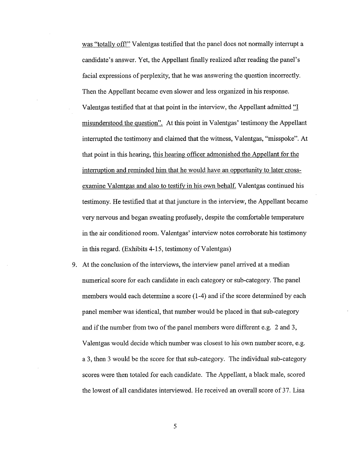was "totally off!" Valentgas testified that the panel does not normally interrupt a candidate's answer. Yet, the Appellant finally realized after reading the panel's facial expressions of perplexity, that he was answering the question incorrectly. Then the Appellant became even slower and less organized in his response. Valentgas testified that at that point in the interview, the Appellant admitted "I misunderstood the question". At this point in Valentgas' testimony the Appellant interrupted the testimony and claimed that the witness, Valentgas, "misspoke". At that point in this hearing, this hearing officer admonished the Appellant for the interruption and reminded him that he would have an opportunity to later crossexamine Valentgas and also to testify in his own behalf. Valentgas continued his testimony. He testified that at that juncture in the interview, the Appellant became very nervous and began sweating profusely, despite the comfortable temperature in the air conditioned room. Valent gas' interview notes corroborate his testimony in this regard. (Exhibits  $4-15$ , testimony of Valentgas)

9. At the conclusion of the interviews, the interview panel arrived at a median numerical score for each candidate in each category or sub-category. The panel members would each determine a score (1-4) and if the score determined by each panel member was identical, that number would be placed in that sub-category and if the number from two of the panel members were different e.g. 2 and 3, Valentgas would decide which number was closest to his own number score, e.g. a 3, then 3 would be the score for that sub-category. The individual sub-category scores were then totaled for each candidate. The Appellant, a black male, scored the lowest of all candidates interviewed. He received an overall score of 37. Lisa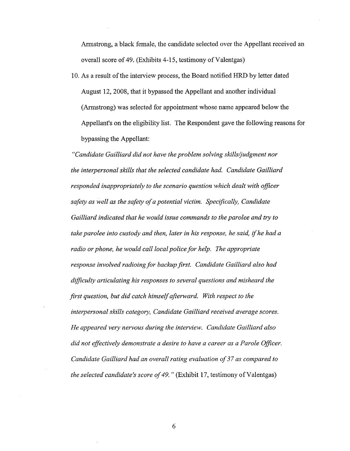Armstrong, a black female, the candidate selected over the Appellant received an overall score of 49. (Exhibits 4-15, testimony of Valentgas)

10. As a result of the interview process, the Board notified HRD by letter dated August 12, 2008, that it bypassed the Appellant and another individual (Armstrong) was selected for appointment whose name appeared below the Appellant's on the eligibility list. The Respondent gave the following reasons for bypassing the Appellant:

*"Candidate Gailliard did not have the problem solving skills/judgment nor the interpersonal skills that the selected candidate had. Candidate Gailliard responded inappropriately to the scenario question which dealt with officer safety as well as the safety of a potential victim. Specifically, Candidate Gailliard indicated that he would issue commands to the parolee and try to take parolee into custody and then, later in his response, he said,* if *he had a radio or phone, he would call local police for help. The appropriate response involved radioing for backup first. Candidate Gailliard also had difficulty articulating his responses to several questions and misheard the first question, but did catch himself afterward. With respect to the interpersonal skills category, Candidate Gailliard received average scores. He appeared very nervous during the interview. Candidate Gailliard also did not effectively demonstrate a desire to have a career as a Parole Officer. Candidate Gailliard had an overall rating evaluation of 37 as compared to the selected candidate's score of 49.* " (Exhibit 17, testimony of Valentgas)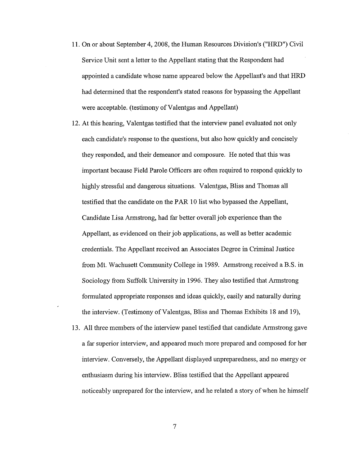- 11. On or about September 4, 2008, the Human Resources Division's ("HRD") Civil Service Unit sent a letter to the Appellant stating that the Respondent had appointed a candidate whose name appeared below the Appellant's and that HRD had determined that the respondent's stated reasons for bypassing the Appellant were acceptable. (testimony of Valentgas and Appellant)
- 12. At this hearing, Valentgas testified that the interview panel evaluated not only each candidate's response to the questions, but also how quickly and concisely they responded, and their demeanor and composure. He noted that this was important because Field Parole Officers are often required to respond quickly to highly stressful and dangerous situations. Valentgas, Bliss and Thomas all testified that the candidate on the PAR 10 list who bypassed the Appellant, Candidate Lisa Armstrong, had far better overall job experience than the Appellant, as evidenced on their job applications, as well as better academic credentials. The Appellant received an Associates Degree in Criminal Justice from Mt. Wachusett Community College in 1989. Armstrong received a B.S. in Sociology from Suffolk University in 1996. They also testified that Armstrong formulated appropriate responses and ideas quickly, easily and naturally during the interview. (Testimony of Valentgas, Bliss and Thomas Exhibits 18 and 19),
- 13. All three members of the interview panel testified that candidate Armstrong gave a far superior interview, and appeared much more prepared and composed for her interview. Conversely, the Appellant displayed unpreparedness, and no energy or enthusiasm during his interview. Bliss testified that the Appellant appeared noticeably unprepared for the interview, and he related a story of when he himself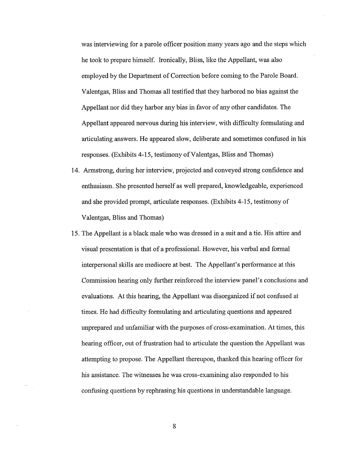was interviewing for a parole officer position many years ago and the steps which he took to prepare himself. Ironically, Bliss, like the Appellant, was also employed by the Department of Correction before coming to the Parole Board. Valentgas, Bliss and Thomas all testified that they harbored no bias against the Appellant nor did they harbor any bias in favor of any other candidates. The Appellant appeared nervous during his interview, with difficulty formulating and articulating answers. He appeared slow, deliberate and sometimes confused in his responses. (Exhibits 4-15, testimony of Valentgas, Bliss and Thomas)

- 14. Armstrong, during her interview, projected and conveyed strong confidence and enthusiasm. She presented herself as well prepared, knowledgeable, experienced and she provided prompt, articulate responses. (Exhibits 4-15, testimony of Valentgas, Bliss and Thomas)
- 15. The Appellant is a black male who was dressed in a suit and a tie. His attire and visual presentation is that of a professional. However, his verbal and formal interpersonal skills are mediocre at best. The Appellant's performance at this Commission hearing only further reinforced the interview panel's conclusions and evaluations. At this hearing, the Appellant was disorganized if not confused at times. He had difficulty formulating and articulating questions and appeared unprepared and unfamiliar with the purposes of cross-examination. At times, this hearing officer, out of frustration had to articulate the question the Appellant was attempting to propose. The Appellant thereupon, thanked this hearing officer for his assistance. The witnesses he was cross-examining also responded to his confusing questions by rephrasing his questions in understandable language.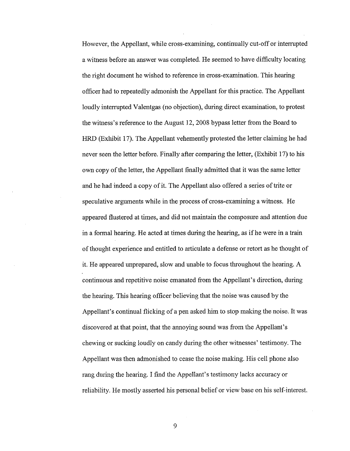However, the Appellant, while cross-examining, continually cut-off or interrupted a witness before an answer was completed. He seemed to have difficulty locating the right document he wished to reference in cross-examination. This hearing officer had to repeatedly admonish the Appellant for this practice. The Appellant loudly interrupted Valentgas (no objection), during direct examination, to protest the witness's reference to the August 12, 2008 bypass letter from the Board to HRD (Exhibit 17). The Appellant vehemently protested the letter claiming he had never seen the letter before. Finally after comparing the letter, (Exhibit 17) to his own copy of the letter, the Appellant finally admitted that it was the same letter and he had indeed a copy of it. The Appellant also offered a series of trite or speculative arguments while in the process of cross-examining a witness. He appeared flustered at times, and did not maintain the composure and attention due in a formal hearing. He acted at times during the hearing, as if he were in a train of thought experience and entitled to articulate a defense or retort as he thought of it. He appeared unprepared, slow and unable to focus throughout the hearing. A continuous and repetitive noise emanated from the Appellant's direction, during the hearing. This hearing officer believing that the noise was caused by the Appellant's continual flicking of a pen asked him to stop making the noise. It was discovered at that point, that the annoying sound was from the Appellant's chewing or sucking loudly on candy during the other witnesses' testimony. The Appellant was then admonished to cease the noise making. His cell phone also rang during the hearing. I find the Appellant's testimony lacks accuracy or reliability. He mostly asserted his personal belief or view base on his self-interest.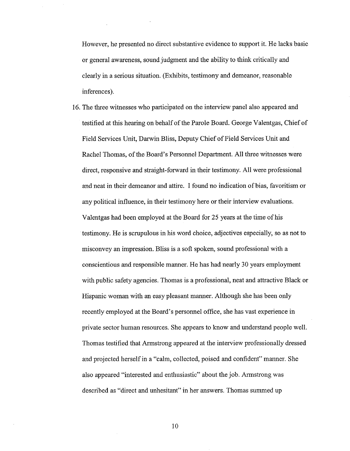However, he presented no direct substantive evidence to support it. He lacks basic or general awareness, sound judgment and the ability to think critically and clearly in a serious situation. (Exhibits, testimony and demeanor, reasonable inferences).

16. The three witnesses who participated on the interview panel also appeared and testified at this hearing on behalf of the Parole Board. George Valentgas, Chief of Field Services Unit, Darwin Bliss, Deputy Chief of Field Services Unit and Rachel Thomas, of the Board's Personnel Department. All three witnesses were direct, responsive and straight-forward in their testimony. All were professional and neat in their demeanor and attire. I found no indication of bias, favoritism or any political influence, in their testimony here or their interview evaluations. Valentgas had been employed at the Board for 25 years at the time of his testimony. He is scrupulous in his word choice, adjectives especially, so as not to misconvey an impression. Bliss is a soft spoken, sound professional with a conscientious and responsible manner. He has had nearly 30 years employment with public safety agencies. Thomas is a professional, neat and attractive Black or Hispanic woman with an easy pleasant manner. Although she has been only recently employed at the Board's personnel office, she has vast experience in private sector human resources. She appears to know and understand people well. Thomas testified that Armstrong appeared at the interview professionally dressed and projected herself in a "calm, collected, poised and confident" marmer. She also appeared "interested and enthusiastic" about the job. Armstrong was described as "direct and unhesitant" in her answers. Thomas summed up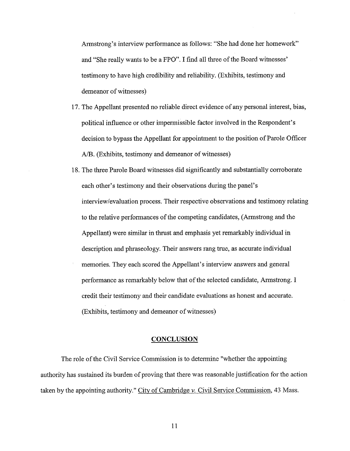Armstrong's interview performance as follows: "She had done her homework" and "She really wants to be a FPO". I find all three of the Board witnesses' testimony to have high credibility and reliability. (Exhibits, testimony and demeanor of witnesses)

- 17. The Appellant presented no reliable direct evidence of any personal interest, bias, political influence or other impermissible factor involved in the Respondent's decision to bypass the Appellant for appointment to the position of Parole Officer A/B. (Exhibits, testimony and demeanor of witnesses)
- 18. The three Parole Board witnesses did significantly and substantially corroborate each other's testimony and their observations during the panel's interview/evaluation process. Their respective observations and testimony relating to the relative performances of the competing candidates, (Armstrong and the Appellant) were similar in thrust and emphasis yet remarkably individual in description and phraseology. Their answers rang true, as accurate individual memories. They each scored the Appellant's interview answers and general performance as remarkably below that of the selected candidate, Armstrong. I credit their testimony and their candidate evaluations as honest and accurate. (Exhibits, testimony and demeanor of witnesses)

#### **CONCLUSION**

The role of the Civil Service Commission is to determine "whether the appointing authority has sustained its burden of proving that there was reasonable justification for the action taken by the appointing authority." City of Cambridge *v.* Civil Service Commission, 43 Mass.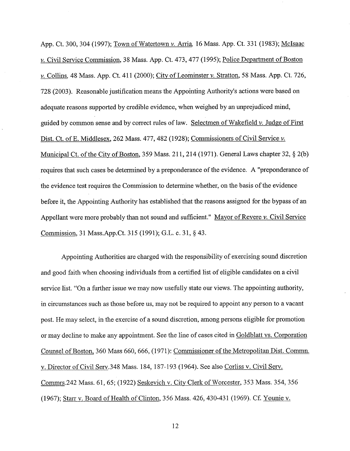App. Ct. 300,304 (1997); Town of Watertown *v.* Arria, 16 Mass. App. Ct. 331 (1983); Mclsaac *v.* Civil Service Commission, 38 Mass. App. Ct. 473,477 (1995); Police Department of Boston *v.* Collins. 48 Mass. App. Ct. 411 (2000); City of Leominster *v.* Stratton, 58 Mass. App. Ct. 726, 728 (2003). Reasonable justification means the Appointing Authority's actions were based on adequate reasons supported by credible evidence, when weighed by an unprejudiced mind, guided by common sense and by correct rules oflaw. Selectmen of Wakefield *v.* Judge of First Dist. Ct. of E. Middlesex, 262 Mass. 477, 482 (1928); Commissioners of Civil Service *v*. Municipal Ct. of the City of Boston, 359 Mass. 211, 214 (1971). General Laws chapter 32, § 2(b) requires that such cases be determined by a preponderance of the evidence. A "preponderance of the evidence test requires the Commission to determine whether, on the basis of the evidence before it, the Appointing Authority has established that the reasons assigned for the bypass of an Appellant were more probably than not sound and sufficient." Mayor of Revere *v.* Civil Service Commission, 31 Mass.App.Ct. 315 (1991); G.L. c. 31, § 43.

Appointing Authorities are charged with the responsibility of exercising sound discretion and good faith when choosing individuals from a certified list of eligible candidates on a civil service list. "On a further issue we may now usefully state our views. The appointing authority, in circumstances such as those before us, may not be required to appoint any person to a vacant post. He may select, in the exercise of a sound discretion, among persons eligible for promotion or may decline to make any appointment. See the line of cases cited in Goldblatt vs. Corporation Counsel of Boston, 360 Mass 660, 666, (1971): Commissioner of the Metropolitan Dist. Commn. v. Director of Civil Serv.348 Mass. 184, 187-193 (1964). See also Corliss v. Civil Serv. Commrs.242 Mass. 61, 65; (1922) Seskevich v. City Clerk of Worcester, 353 Mass. 354,356 (1967); Starr v. Board of Health of Clinton, 356 Mass. 426, 430-431 (1969). Cf. Younie v.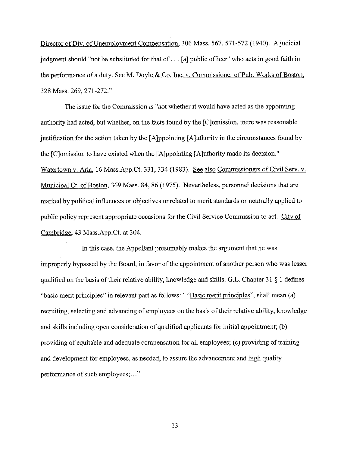Director of Div. of Unemployment Compensation, 306 Mass. 567, 571-572 (1940). A judicial judgment should "not be substituted for that of ... [a] public officer" who acts in good faith in the performance of a duty. See M. Doyle & Co. Inc. v. Commissioner of Pub. Works of Boston, 328 Mass. 269, 271-272."

The issue for the Commission is "not whether it would have acted as the appointing authority had acted, but whether, on the facts found by the [C]omission, there was reasonable justification for the action taken by the [A]ppointing [A]uthority in the circumstances found by the [C]omission to have existed when the [A]ppointing [A]uthoritymade its decision." Watertown v. Aria, 16 Mass.App.Ct. 331,334 (1983). See also Commissioners of Civil Serv. v. Municipal Ct. of Boston, 369 Mass. 84, 86 (1975). Nevertheless, personnel decisions that are marked by political influences or objectives unrelated to merit standards or neutrally applied to public policy represent appropriate occasions for the Civil Service Commission to act. City of Cambridge, 43 Mass.App.Ct. at 304.

In this case, the Appellant presumably makes the argument that he was improperly bypassed by the Board, in favor of the appointment of another person who was lesser qualified on the basis of their relative ability, knowledge and skills. G.L. Chapter  $31 \S 1$  defines "basic merit principles" in relevant part as follows: "Basic merit principles", shall mean (a) recruiting, selecting and advancing of employees on the basis of their relative ability, knowledge and skills including open consideration of qualified applicants for initial appointment; (b) providing of equitable and adequate compensation for all employees; ( c) providing of training and development for employees, as needed, to assure the advancement and high quality performance of such employees;..."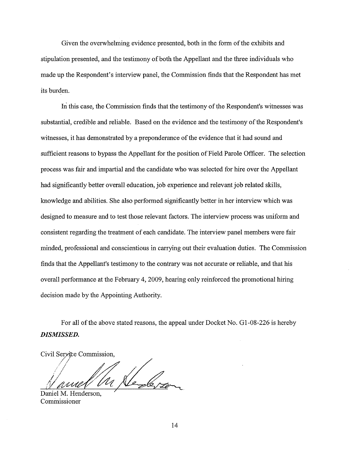Given the overwhelming evidence presented, both in the form of the exhibits and stipulation presented, and the testimony of both the Appellant and the three individuals who made up the Respondent's interview panel, the Commission finds that the Respondent has met its burden.

In this case, the Commission finds that the testimony of the Respondent's witnesses was substantial, credible and reliable. Based on the evidence and the testimony of the Respondent's witnesses, it has demonstrated by a preponderance of the evidence that it had sound and sufficient reasons to bypass the Appellant for the position of Field Parole Officer. The selection process was fair and impartial and the candidate who was selected for hire over the Appellant had significantly better overall education, job experience and relevant job related skills, knowledge and abilities. She also performed significantly better in her interview which was designed to measure and to test those relevant factors. The interview process was uniform and consistent regarding the treatment of each candidate. The interview panel members were fair minded, professional and conscientious in carrying out their evaluation duties. The Commission finds that the Appellant's testimony to the contrary was not accurate or reliable, and that his overall performance at the February 4, 2009, hearing only reinforced the promotional hiring decision made by the Appointing Authority.

For all of the above stated reasons, the appeal under Docket No. G1-08-226 is hereby *DISMISSED.* 

Civil Service Commission, !!<br>*In <u>Ne-le, ;</u>* <u>{\ awe U</u>

Daniel M. Henderson, Commissioner